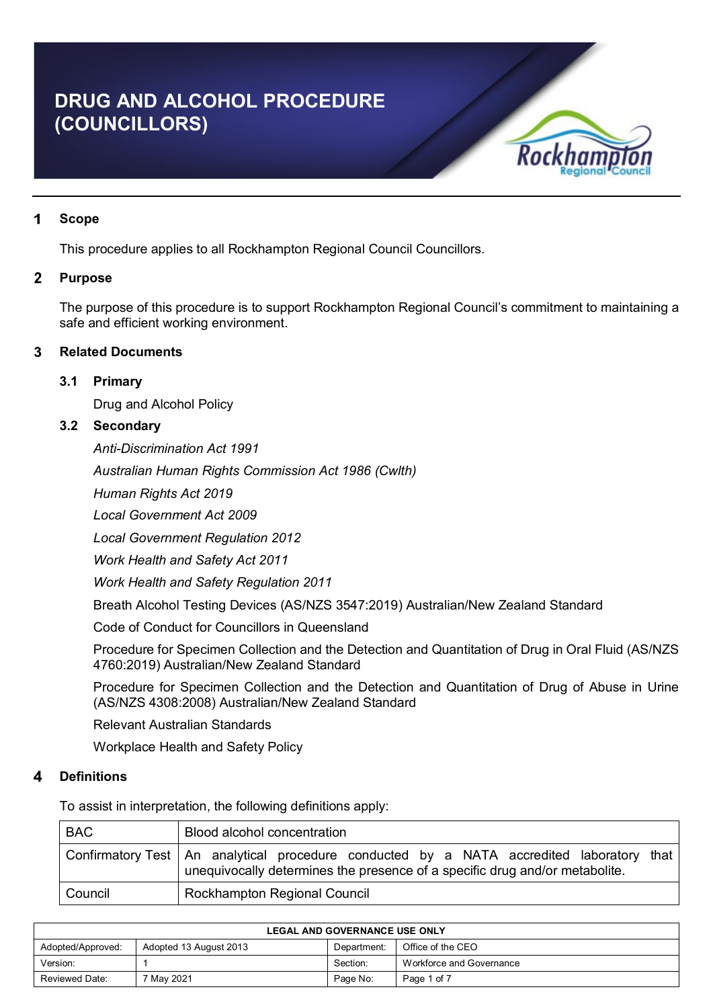# **DRUG AND ALCOHOL PROCEDURE (COUNCILLORS)**



#### 1 **Scope**

This procedure applies to all Rockhampton Regional Council Councillors.

#### $\overline{2}$ **Purpose**

The purpose of this procedure is to support Rockhampton Regional Council's commitment to maintaining a safe and efficient working environment.

#### 3 **Related Documents**

#### **3.1 Primary**

Drug and Alcohol Policy

## **3.2 Secondary**

*Anti-Discrimination Act 1991*

*Australian Human Rights Commission Act 1986 (Cwlth)*

*Human Rights Act 2019*

*Local Government Act 2009*

*Local Government Regulation 2012*

*Work Health and Safety Act 2011*

*Work Health and Safety Regulation 2011*

Breath Alcohol Testing Devices (AS/NZS 3547:2019) Australian/New Zealand Standard

Code of Conduct for Councillors in Queensland

Procedure for Specimen Collection and the Detection and Quantitation of Drug in Oral Fluid (AS/NZS 4760:2019) Australian/New Zealand Standard

Procedure for Specimen Collection and the Detection and Quantitation of Drug of Abuse in Urine (AS/NZS 4308:2008) Australian/New Zealand Standard

Relevant Australian Standards

Workplace Health and Safety Policy

#### **Definitions**  $\boldsymbol{\Lambda}$

To assist in interpretation, the following definitions apply:

| <b>BAC</b> | Blood alcohol concentration                                                                                                                                                 |
|------------|-----------------------------------------------------------------------------------------------------------------------------------------------------------------------------|
|            | Confirmatory Test   An analytical procedure conducted by a NATA accredited laboratory that  <br>unequivocally determines the presence of a specific drug and/or metabolite. |
| Council    | <b>Rockhampton Regional Council</b>                                                                                                                                         |

| <b>LEGAL AND GOVERNANCE USE ONLY</b>                                            |            |          |                          |  |
|---------------------------------------------------------------------------------|------------|----------|--------------------------|--|
| Office of the CEO<br>Adopted 13 August 2013<br>Department:<br>Adopted/Approved: |            |          |                          |  |
| Version:                                                                        |            | Section: | Workforce and Governance |  |
| Reviewed Date:                                                                  | 7 May 2021 | Page No: | Page 1 of 7              |  |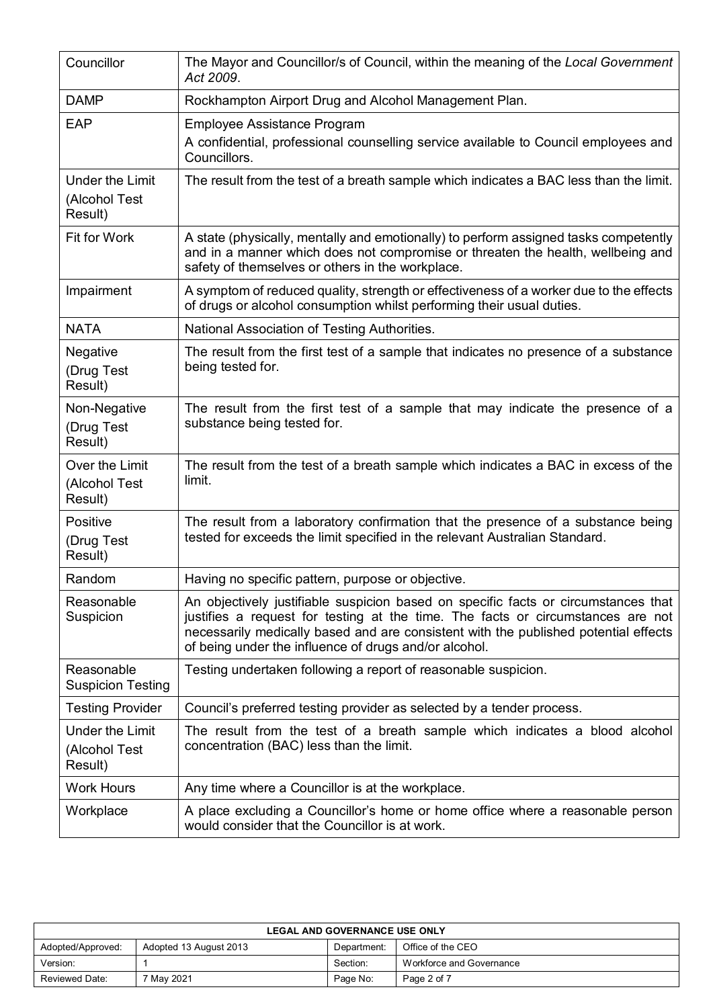| Councillor                                         | The Mayor and Councillor/s of Council, within the meaning of the Local Government<br>Act 2009.                                                                                                                                                                                                                        |
|----------------------------------------------------|-----------------------------------------------------------------------------------------------------------------------------------------------------------------------------------------------------------------------------------------------------------------------------------------------------------------------|
| <b>DAMP</b>                                        | Rockhampton Airport Drug and Alcohol Management Plan.                                                                                                                                                                                                                                                                 |
| <b>EAP</b>                                         | <b>Employee Assistance Program</b>                                                                                                                                                                                                                                                                                    |
|                                                    | A confidential, professional counselling service available to Council employees and<br>Councillors.                                                                                                                                                                                                                   |
| <b>Under the Limit</b><br>(Alcohol Test<br>Result) | The result from the test of a breath sample which indicates a BAC less than the limit.                                                                                                                                                                                                                                |
| <b>Fit for Work</b>                                | A state (physically, mentally and emotionally) to perform assigned tasks competently<br>and in a manner which does not compromise or threaten the health, wellbeing and<br>safety of themselves or others in the workplace.                                                                                           |
| Impairment                                         | A symptom of reduced quality, strength or effectiveness of a worker due to the effects<br>of drugs or alcohol consumption whilst performing their usual duties.                                                                                                                                                       |
| <b>NATA</b>                                        | National Association of Testing Authorities.                                                                                                                                                                                                                                                                          |
| Negative<br>(Drug Test<br>Result)                  | The result from the first test of a sample that indicates no presence of a substance<br>being tested for.                                                                                                                                                                                                             |
| Non-Negative<br>(Drug Test<br>Result)              | The result from the first test of a sample that may indicate the presence of a<br>substance being tested for.                                                                                                                                                                                                         |
| Over the Limit<br>(Alcohol Test<br>Result)         | The result from the test of a breath sample which indicates a BAC in excess of the<br>limit.                                                                                                                                                                                                                          |
| Positive<br>(Drug Test<br>Result)                  | The result from a laboratory confirmation that the presence of a substance being<br>tested for exceeds the limit specified in the relevant Australian Standard.                                                                                                                                                       |
| Random                                             | Having no specific pattern, purpose or objective.                                                                                                                                                                                                                                                                     |
| Reasonable<br>Suspicion                            | An objectively justifiable suspicion based on specific facts or circumstances that<br>justifies a request for testing at the time. The facts or circumstances are not<br>necessarily medically based and are consistent with the published potential effects<br>of being under the influence of drugs and/or alcohol. |
| Reasonable<br><b>Suspicion Testing</b>             | Testing undertaken following a report of reasonable suspicion.                                                                                                                                                                                                                                                        |
| <b>Testing Provider</b>                            | Council's preferred testing provider as selected by a tender process.                                                                                                                                                                                                                                                 |
| <b>Under the Limit</b><br>(Alcohol Test<br>Result) | The result from the test of a breath sample which indicates a blood alcohol<br>concentration (BAC) less than the limit.                                                                                                                                                                                               |
| <b>Work Hours</b>                                  | Any time where a Councillor is at the workplace.                                                                                                                                                                                                                                                                      |
| Workplace                                          | A place excluding a Councillor's home or home office where a reasonable person<br>would consider that the Councillor is at work.                                                                                                                                                                                      |

| <b>LEGAL AND GOVERNANCE USE ONLY</b>                                            |            |          |                          |  |
|---------------------------------------------------------------------------------|------------|----------|--------------------------|--|
| Office of the CEO<br>Adopted/Approved:<br>Adopted 13 August 2013<br>Department: |            |          |                          |  |
| Version:                                                                        |            | Section: | Workforce and Governance |  |
| Reviewed Date:                                                                  | ' Mav 2021 | Page No: | Page 2 of 7              |  |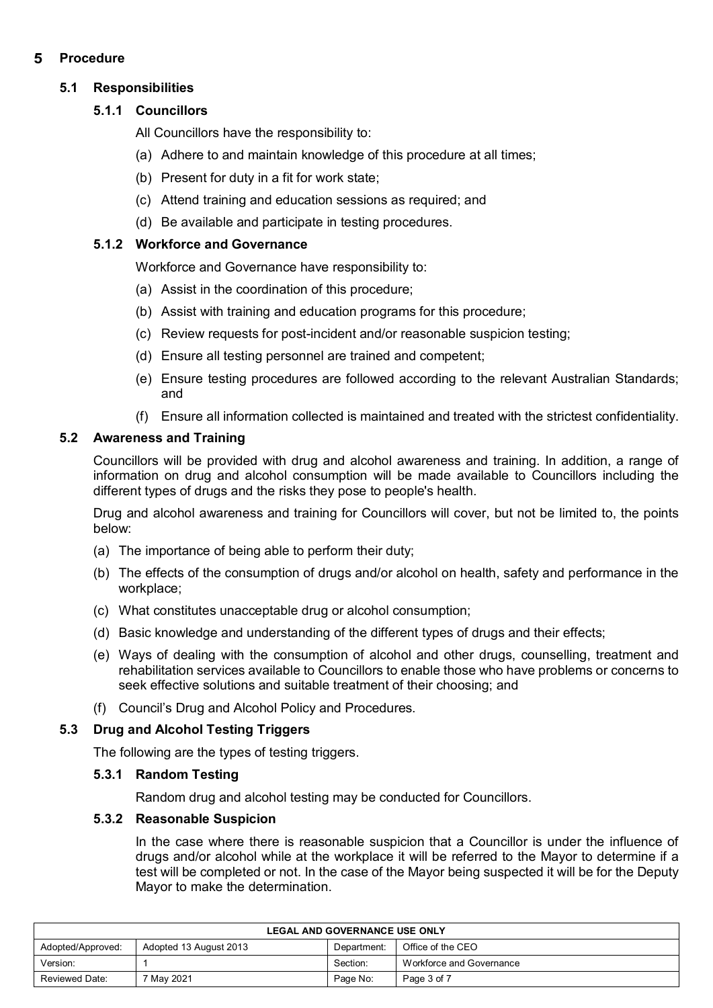#### 5 **Procedure**

# **5.1 Responsibilities**

# **5.1.1 Councillors**

All Councillors have the responsibility to:

- (a) Adhere to and maintain knowledge of this procedure at all times;
- (b) Present for duty in a fit for work state;
- (c) Attend training and education sessions as required; and
- (d) Be available and participate in testing procedures.

# **5.1.2 Workforce and Governance**

Workforce and Governance have responsibility to:

- (a) Assist in the coordination of this procedure;
- (b) Assist with training and education programs for this procedure;
- (c) Review requests for post-incident and/or reasonable suspicion testing;
- (d) Ensure all testing personnel are trained and competent;
- (e) Ensure testing procedures are followed according to the relevant Australian Standards; and
- (f) Ensure all information collected is maintained and treated with the strictest confidentiality.

# **5.2 Awareness and Training**

Councillors will be provided with drug and alcohol awareness and training. In addition, a range of information on drug and alcohol consumption will be made available to Councillors including the different types of drugs and the risks they pose to people's health.

Drug and alcohol awareness and training for Councillors will cover, but not be limited to, the points below:

- (a) The importance of being able to perform their duty;
- (b) The effects of the consumption of drugs and/or alcohol on health, safety and performance in the workplace;
- (c) What constitutes unacceptable drug or alcohol consumption;
- (d) Basic knowledge and understanding of the different types of drugs and their effects;
- (e) Ways of dealing with the consumption of alcohol and other drugs, counselling, treatment and rehabilitation services available to Councillors to enable those who have problems or concerns to seek effective solutions and suitable treatment of their choosing; and
- (f) Council's Drug and Alcohol Policy and Procedures.

# **5.3 Drug and Alcohol Testing Triggers**

The following are the types of testing triggers.

## **5.3.1 Random Testing**

Random drug and alcohol testing may be conducted for Councillors.

## **5.3.2 Reasonable Suspicion**

In the case where there is reasonable suspicion that a Councillor is under the influence of drugs and/or alcohol while at the workplace it will be referred to the Mayor to determine if a test will be completed or not. In the case of the Mayor being suspected it will be for the Deputy Mayor to make the determination.

| <b>LEGAL AND GOVERNANCE USE ONLY</b>                                            |  |          |                          |  |
|---------------------------------------------------------------------------------|--|----------|--------------------------|--|
| Office of the CEO<br>Adopted 13 August 2013<br>Adopted/Approved:<br>Department: |  |          |                          |  |
| Version:                                                                        |  | Section: | Workforce and Governance |  |
| 7 Mav 2021<br>Reviewed Date:<br>Page No:<br>Page 3 of 7                         |  |          |                          |  |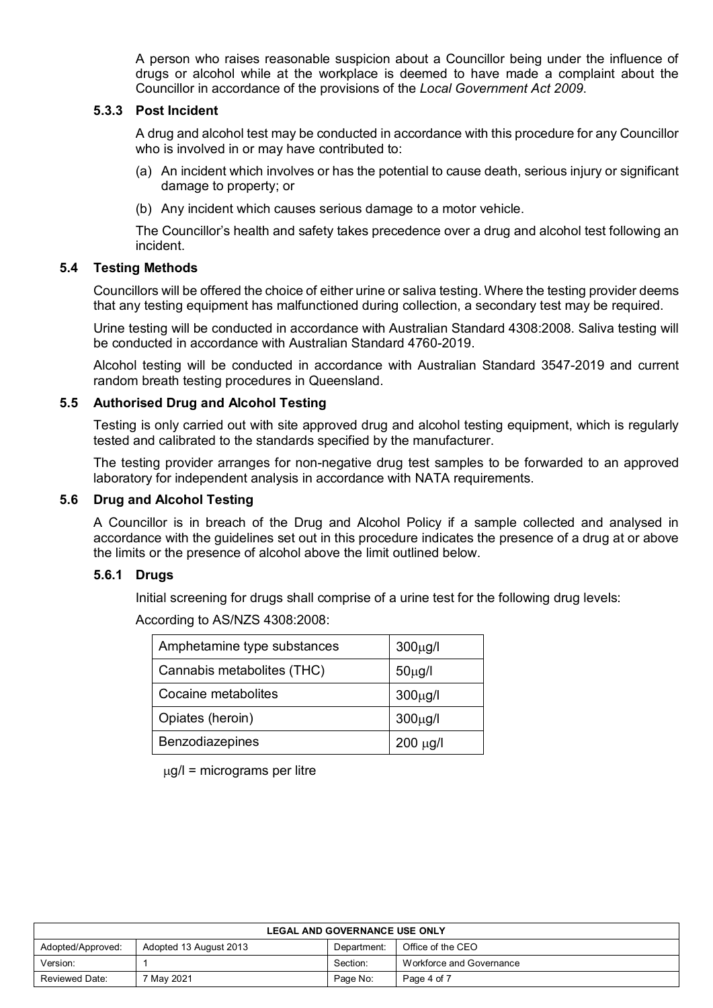A person who raises reasonable suspicion about a Councillor being under the influence of drugs or alcohol while at the workplace is deemed to have made a complaint about the Councillor in accordance of the provisions of the *Local Government Act 2009*.

#### **5.3.3 Post Incident**

A drug and alcohol test may be conducted in accordance with this procedure for any Councillor who is involved in or may have contributed to:

- (a) An incident which involves or has the potential to cause death, serious injury or significant damage to property; or
- (b) Any incident which causes serious damage to a motor vehicle.

The Councillor's health and safety takes precedence over a drug and alcohol test following an incident.

## **5.4 Testing Methods**

Councillors will be offered the choice of either urine or saliva testing. Where the testing provider deems that any testing equipment has malfunctioned during collection, a secondary test may be required.

Urine testing will be conducted in accordance with Australian Standard 4308:2008. Saliva testing will be conducted in accordance with Australian Standard 4760-2019.

Alcohol testing will be conducted in accordance with Australian Standard 3547-2019 and current random breath testing procedures in Queensland.

#### **5.5 Authorised Drug and Alcohol Testing**

Testing is only carried out with site approved drug and alcohol testing equipment, which is regularly tested and calibrated to the standards specified by the manufacturer.

The testing provider arranges for non-negative drug test samples to be forwarded to an approved laboratory for independent analysis in accordance with NATA requirements.

#### **5.6 Drug and Alcohol Testing**

A Councillor is in breach of the Drug and Alcohol Policy if a sample collected and analysed in accordance with the guidelines set out in this procedure indicates the presence of a drug at or above the limits or the presence of alcohol above the limit outlined below.

#### **5.6.1 Drugs**

Initial screening for drugs shall comprise of a urine test for the following drug levels:

| Amphetamine type substances | $300\mu g/l$  |
|-----------------------------|---------------|
| Cannabis metabolites (THC)  | $50\mu g/l$   |
| Cocaine metabolites         | $300\mu g/l$  |
| Opiates (heroin)            | $300\mu g/l$  |
| Benzodiazepines             | $200 \mu g/l$ |

According to AS/NZS 4308:2008:

 $\mu$ g/l = micrograms per litre

| <b>LEGAL AND GOVERNANCE USE ONLY</b>                                            |  |          |                          |  |  |
|---------------------------------------------------------------------------------|--|----------|--------------------------|--|--|
| Office of the CEO<br>Adopted/Approved:<br>Adopted 13 August 2013<br>Department: |  |          |                          |  |  |
| Version:                                                                        |  | Section: | Workforce and Governance |  |  |
| May 2021<br>Page 4 of 7<br>Reviewed Date:<br>Page No:                           |  |          |                          |  |  |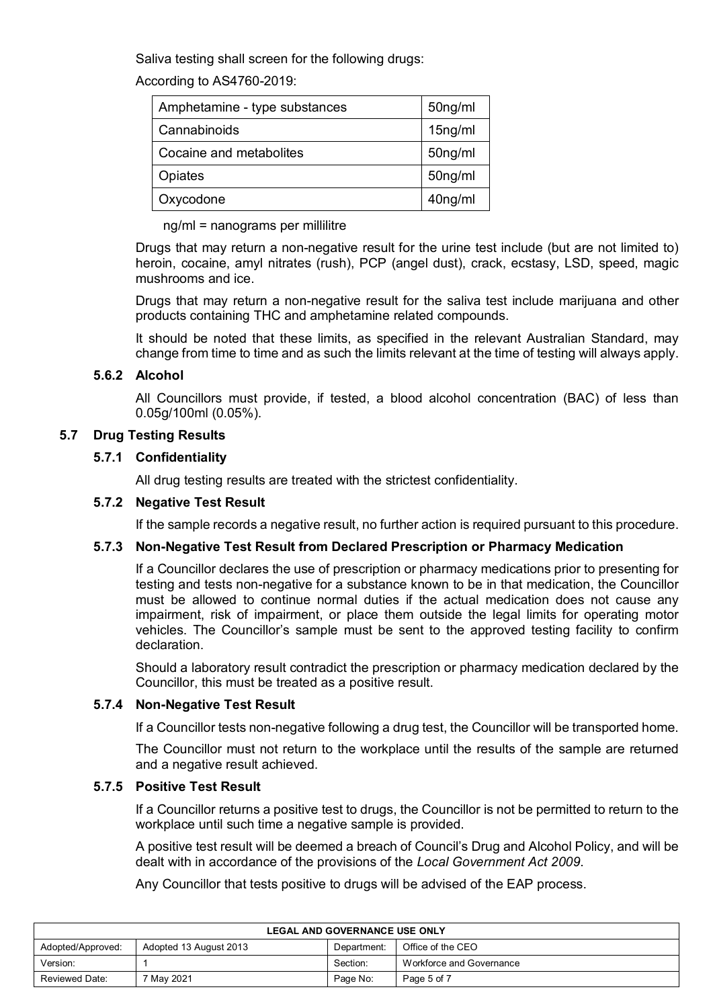Saliva testing shall screen for the following drugs:

According to AS4760-2019:

| Amphetamine - type substances | 50ng/ml |
|-------------------------------|---------|
| Cannabinoids                  | 15ng/ml |
| Cocaine and metabolites       | 50ng/ml |
| Opiates                       | 50ng/ml |
| Oxycodone                     | 40ng/ml |

ng/ml = nanograms per millilitre

Drugs that may return a non-negative result for the urine test include (but are not limited to) heroin, cocaine, amyl nitrates (rush), PCP (angel dust), crack, ecstasy, LSD, speed, magic mushrooms and ice.

Drugs that may return a non-negative result for the saliva test include marijuana and other products containing THC and amphetamine related compounds.

It should be noted that these limits, as specified in the relevant Australian Standard, may change from time to time and as such the limits relevant at the time of testing will always apply.

# **5.6.2 Alcohol**

All Councillors must provide, if tested, a blood alcohol concentration (BAC) of less than 0.05g/100ml (0.05%).

# **5.7 Drug Testing Results**

## **5.7.1 Confidentiality**

All drug testing results are treated with the strictest confidentiality.

#### **5.7.2 Negative Test Result**

If the sample records a negative result, no further action is required pursuant to this procedure.

## **5.7.3 Non-Negative Test Result from Declared Prescription or Pharmacy Medication**

If a Councillor declares the use of prescription or pharmacy medications prior to presenting for testing and tests non-negative for a substance known to be in that medication, the Councillor must be allowed to continue normal duties if the actual medication does not cause any impairment, risk of impairment, or place them outside the legal limits for operating motor vehicles. The Councillor's sample must be sent to the approved testing facility to confirm declaration.

Should a laboratory result contradict the prescription or pharmacy medication declared by the Councillor, this must be treated as a positive result.

## **5.7.4 Non-Negative Test Result**

If a Councillor tests non-negative following a drug test, the Councillor will be transported home.

The Councillor must not return to the workplace until the results of the sample are returned and a negative result achieved.

## **5.7.5 Positive Test Result**

If a Councillor returns a positive test to drugs, the Councillor is not be permitted to return to the workplace until such time a negative sample is provided.

A positive test result will be deemed a breach of Council's Drug and Alcohol Policy, and will be dealt with in accordance of the provisions of the *Local Government Act 2009*.

Any Councillor that tests positive to drugs will be advised of the EAP process.

| <b>LEGAL AND GOVERNANCE USE ONLY</b>                                            |            |          |                          |  |
|---------------------------------------------------------------------------------|------------|----------|--------------------------|--|
| Office of the CEO<br>Adopted/Approved:<br>Adopted 13 August 2013<br>Department: |            |          |                          |  |
| Version:                                                                        |            | Section: | Workforce and Governance |  |
| Reviewed Date:                                                                  | ' Mav 2021 | Page No: | Page 5 of 7              |  |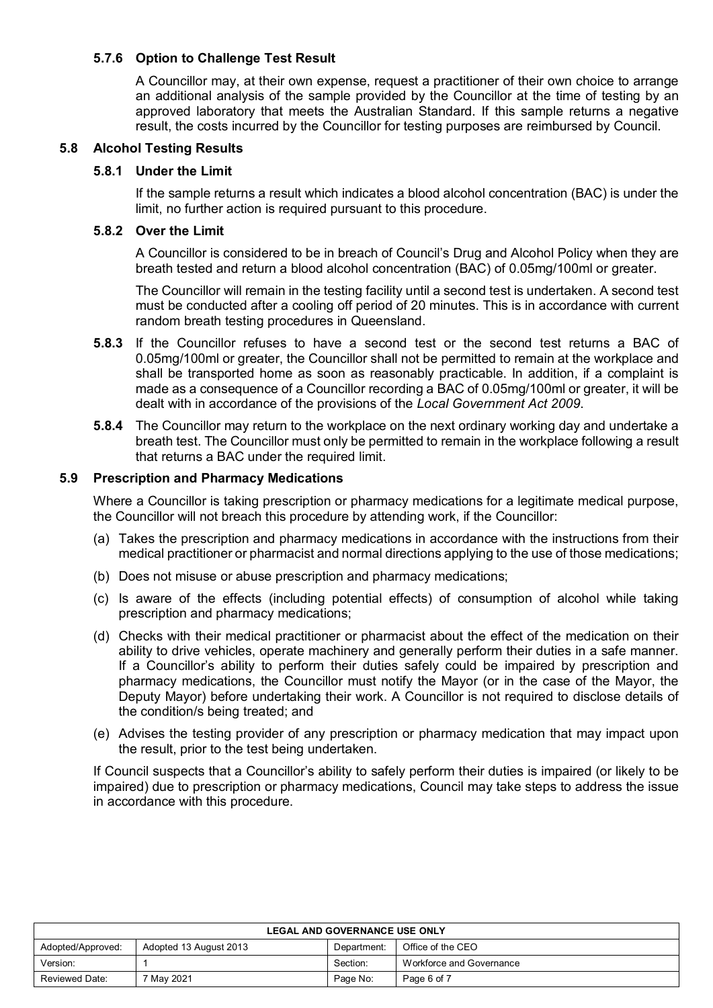# **5.7.6 Option to Challenge Test Result**

A Councillor may, at their own expense, request a practitioner of their own choice to arrange an additional analysis of the sample provided by the Councillor at the time of testing by an approved laboratory that meets the Australian Standard. If this sample returns a negative result, the costs incurred by the Councillor for testing purposes are reimbursed by Council.

#### **5.8 Alcohol Testing Results**

#### **5.8.1 Under the Limit**

If the sample returns a result which indicates a blood alcohol concentration (BAC) is under the limit, no further action is required pursuant to this procedure.

#### **5.8.2 Over the Limit**

A Councillor is considered to be in breach of Council's Drug and Alcohol Policy when they are breath tested and return a blood alcohol concentration (BAC) of 0.05mg/100ml or greater.

The Councillor will remain in the testing facility until a second test is undertaken. A second test must be conducted after a cooling off period of 20 minutes. This is in accordance with current random breath testing procedures in Queensland.

- **5.8.3** If the Councillor refuses to have a second test or the second test returns a BAC of 0.05mg/100ml or greater, the Councillor shall not be permitted to remain at the workplace and shall be transported home as soon as reasonably practicable. In addition, if a complaint is made as a consequence of a Councillor recording a BAC of 0.05mg/100ml or greater, it will be dealt with in accordance of the provisions of the *Local Government Act 2009*.
- **5.8.4** The Councillor may return to the workplace on the next ordinary working day and undertake a breath test. The Councillor must only be permitted to remain in the workplace following a result that returns a BAC under the required limit.

#### **5.9 Prescription and Pharmacy Medications**

Where a Councillor is taking prescription or pharmacy medications for a legitimate medical purpose, the Councillor will not breach this procedure by attending work, if the Councillor:

- (a) Takes the prescription and pharmacy medications in accordance with the instructions from their medical practitioner or pharmacist and normal directions applying to the use of those medications;
- (b) Does not misuse or abuse prescription and pharmacy medications;
- (c) Is aware of the effects (including potential effects) of consumption of alcohol while taking prescription and pharmacy medications;
- (d) Checks with their medical practitioner or pharmacist about the effect of the medication on their ability to drive vehicles, operate machinery and generally perform their duties in a safe manner. If a Councillor's ability to perform their duties safely could be impaired by prescription and pharmacy medications, the Councillor must notify the Mayor (or in the case of the Mayor, the Deputy Mayor) before undertaking their work. A Councillor is not required to disclose details of the condition/s being treated; and
- (e) Advises the testing provider of any prescription or pharmacy medication that may impact upon the result, prior to the test being undertaken.

If Council suspects that a Councillor's ability to safely perform their duties is impaired (or likely to be impaired) due to prescription or pharmacy medications, Council may take steps to address the issue in accordance with this procedure.

| <b>LEGAL AND GOVERNANCE USE ONLY</b>                                            |          |          |                          |  |
|---------------------------------------------------------------------------------|----------|----------|--------------------------|--|
| Office of the CEO<br>Adopted/Approved:<br>Adopted 13 August 2013<br>Department: |          |          |                          |  |
| Version:                                                                        |          | Section: | Workforce and Governance |  |
| Reviewed Date:                                                                  | May 2021 | Page No: | Page 6 of 7              |  |